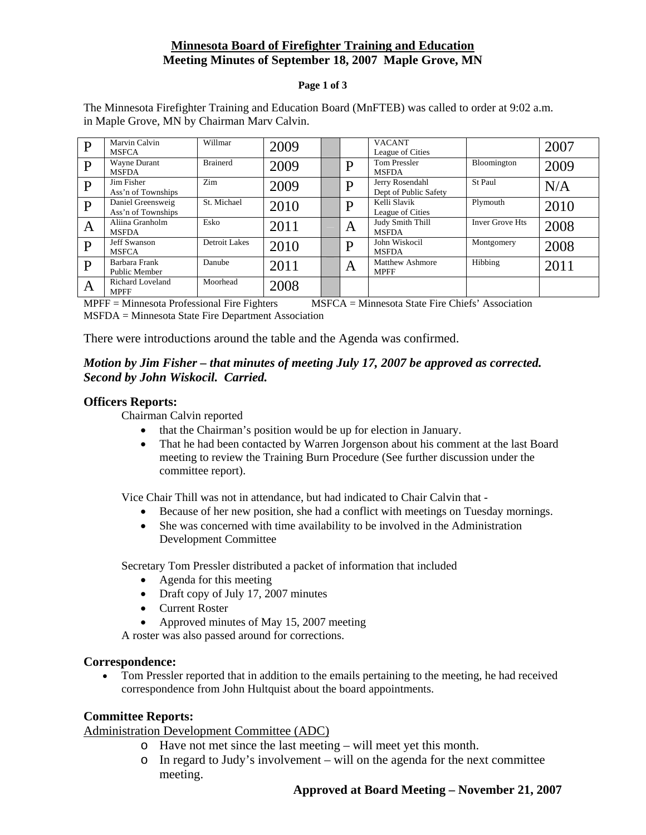# **Minnesota Board of Firefighter Training and Education Meeting Minutes of September 18, 2007 Maple Grove, MN**

#### **Page 1 of 3**

| D            | Marvin Calvin           | Willmar         | 2009 |   | <b>VACANT</b>          |                        | 2007 |
|--------------|-------------------------|-----------------|------|---|------------------------|------------------------|------|
|              | <b>MSFCA</b>            |                 |      |   | League of Cities       |                        |      |
| $\mathbf{P}$ | Wayne Durant            | <b>Brainerd</b> | 2009 | D | <b>Tom Pressler</b>    | Bloomington            | 2009 |
|              | <b>MSFDA</b>            |                 |      |   | <b>MSFDA</b>           |                        |      |
| P            | Jim Fisher              | Zim             | 2009 | D | Jerry Rosendahl        | St Paul                | N/A  |
|              | Ass'n of Townships      |                 |      |   | Dept of Public Safety  |                        |      |
| $\mathbf{P}$ | Daniel Greensweig       | St. Michael     | 2010 | D | Kelli Slavik           | Plymouth               | 2010 |
|              | Ass'n of Townships      |                 |      |   | League of Cities       |                        |      |
| A            | Aliina Granholm         | Esko            | 2011 | A | Judy Smith Thill       | <b>Inver Grove Hts</b> | 2008 |
|              | <b>MSFDA</b>            |                 |      |   | <b>MSFDA</b>           |                        |      |
| D            | <b>Jeff Swanson</b>     | Detroit Lakes   | 2010 | D | John Wiskocil          | Montgomery             | 2008 |
|              | <b>MSFCA</b>            |                 |      |   | <b>MSFDA</b>           |                        |      |
| D            | Barbara Frank           | Danube          | 2011 | A | <b>Matthew Ashmore</b> | Hibbing                | 2011 |
|              | Public Member           |                 |      |   | <b>MPFF</b>            |                        |      |
|              | <b>Richard Loveland</b> | Moorhead        | 2008 |   |                        |                        |      |
| A            | <b>MPFF</b>             |                 |      |   |                        |                        |      |

The Minnesota Firefighter Training and Education Board (MnFTEB) was called to order at 9:02 a.m. in Maple Grove, MN by Chairman Marv Calvin.

MPFF = Minnesota Professional Fire Fighters MSFCA = Minnesota State Fire Chiefs' Association MSFDA = Minnesota State Fire Department Association

There were introductions around the table and the Agenda was confirmed.

# *Motion by Jim Fisher – that minutes of meeting July 17, 2007 be approved as corrected. Second by John Wiskocil. Carried.*

### **Officers Reports:**

Chairman Calvin reported

- that the Chairman's position would be up for election in January.
- That he had been contacted by Warren Jorgenson about his comment at the last Board meeting to review the Training Burn Procedure (See further discussion under the committee report).

Vice Chair Thill was not in attendance, but had indicated to Chair Calvin that -

- Because of her new position, she had a conflict with meetings on Tuesday mornings.
- She was concerned with time availability to be involved in the Administration Development Committee

Secretary Tom Pressler distributed a packet of information that included

- Agenda for this meeting
- Draft copy of July 17, 2007 minutes
- Current Roster
- Approved minutes of May 15, 2007 meeting

A roster was also passed around for corrections.

#### **Correspondence:**

• Tom Pressler reported that in addition to the emails pertaining to the meeting, he had received correspondence from John Hultquist about the board appointments.

### **Committee Reports:**

Administration Development Committee (ADC)

- o Have not met since the last meeting will meet yet this month.
- o In regard to Judy's involvement will on the agenda for the next committee meeting.

### **Approved at Board Meeting – November 21, 2007**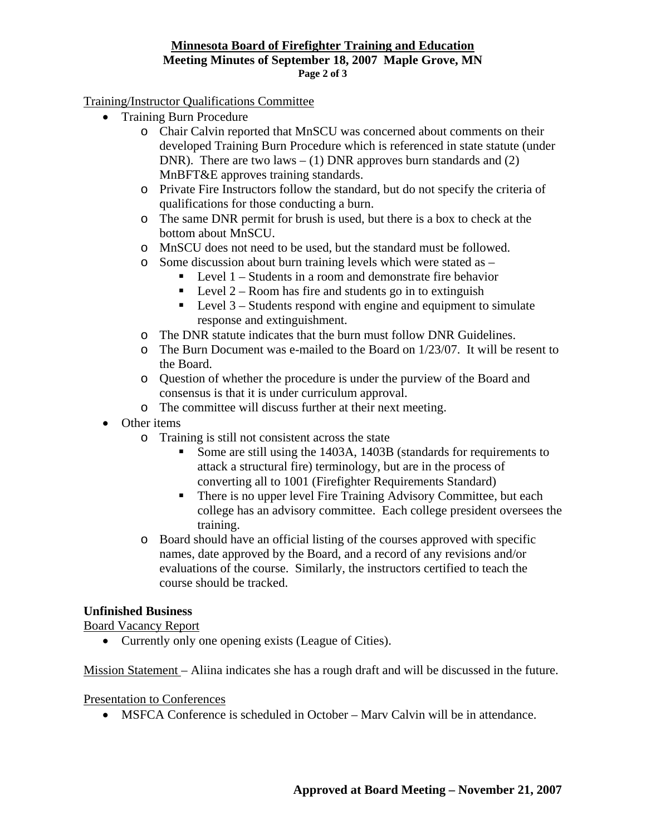#### **Minnesota Board of Firefighter Training and Education Meeting Minutes of September 18, 2007 Maple Grove, MN Page 2 of 3**

# Training/Instructor Qualifications Committee

- Training Burn Procedure
	- o Chair Calvin reported that MnSCU was concerned about comments on their developed Training Burn Procedure which is referenced in state statute (under DNR). There are two laws  $- (1)$  DNR approves burn standards and  $(2)$ MnBFT&E approves training standards.
	- o Private Fire Instructors follow the standard, but do not specify the criteria of qualifications for those conducting a burn.
	- o The same DNR permit for brush is used, but there is a box to check at the bottom about MnSCU.
	- o MnSCU does not need to be used, but the standard must be followed.
	- o Some discussion about burn training levels which were stated as
		- $\blacksquare$  Level 1 Students in a room and demonstrate fire behavior
		- $\blacksquare$  Level 2 Room has fire and students go in to extinguish
		- $\blacksquare$  Level 3 Students respond with engine and equipment to simulate response and extinguishment.
	- o The DNR statute indicates that the burn must follow DNR Guidelines.
	- $\circ$  The Burn Document was e-mailed to the Board on 1/23/07. It will be resent to the Board.
	- o Question of whether the procedure is under the purview of the Board and consensus is that it is under curriculum approval.
	- o The committee will discuss further at their next meeting.
- Other items
	- o Training is still not consistent across the state
		- Some are still using the 1403A, 1403B (standards for requirements to attack a structural fire) terminology, but are in the process of converting all to 1001 (Firefighter Requirements Standard)
		- There is no upper level Fire Training Advisory Committee, but each college has an advisory committee. Each college president oversees the training.
	- o Board should have an official listing of the courses approved with specific names, date approved by the Board, and a record of any revisions and/or evaluations of the course. Similarly, the instructors certified to teach the course should be tracked.

# **Unfinished Business**

Board Vacancy Report

• Currently only one opening exists (League of Cities).

Mission Statement – Aliina indicates she has a rough draft and will be discussed in the future.

### Presentation to Conferences

• MSFCA Conference is scheduled in October – Mary Calvin will be in attendance.